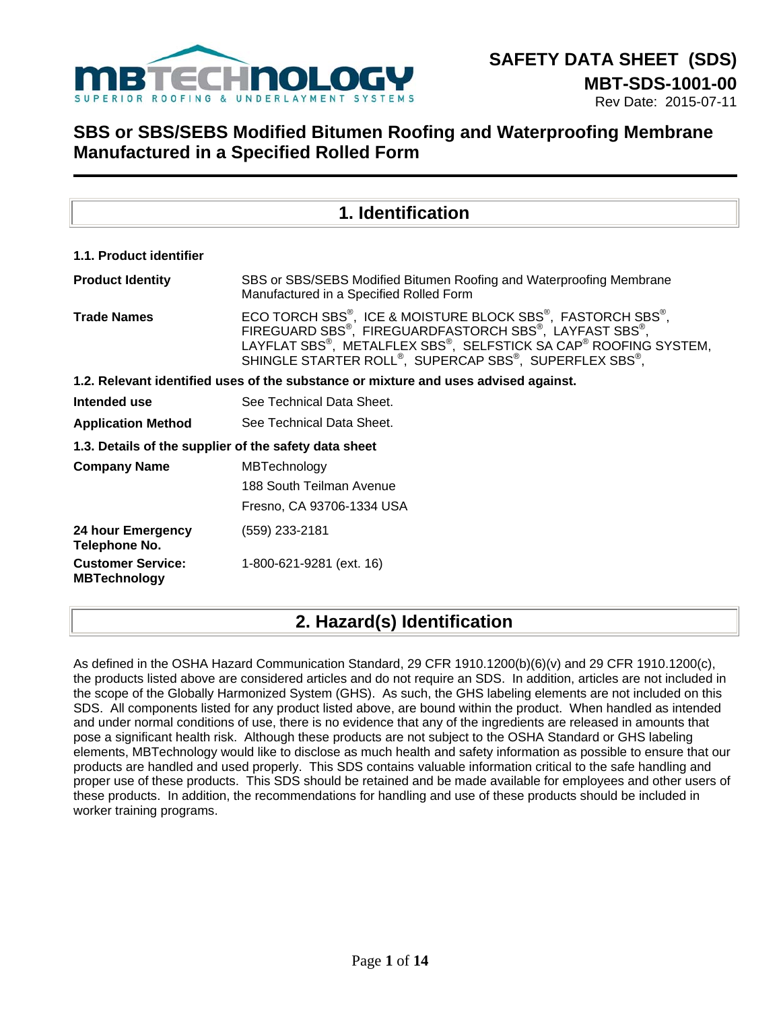

Rev Date: 2015-07-11

## **SBS or SBS/SEBS Modified Bitumen Roofing and Waterproofing Membrane Manufactured in a Specified Rolled Form**

|                                                 | 1. Identification                                                                                                                                                                                                                                                                                                                         |  |  |  |  |  |
|-------------------------------------------------|-------------------------------------------------------------------------------------------------------------------------------------------------------------------------------------------------------------------------------------------------------------------------------------------------------------------------------------------|--|--|--|--|--|
| 1.1. Product identifier                         |                                                                                                                                                                                                                                                                                                                                           |  |  |  |  |  |
| <b>Product Identity</b>                         | SBS or SBS/SEBS Modified Bitumen Roofing and Waterproofing Membrane<br>Manufactured in a Specified Rolled Form                                                                                                                                                                                                                            |  |  |  |  |  |
| <b>Trade Names</b>                              | ECO TORCH SBS <sup>®</sup> , ICE & MOISTURE BLOCK SBS <sup>®</sup> , FASTORCH SBS <sup>®</sup> ,<br>FIREGUARD SBS <sup>®</sup> , FIREGUARDFASTORCH SBS®, LAYFAST SBS®,<br>LAYFLAT SBS®, METALFLEX SBS®, SELFSTICK SA CAP® ROOFING SYSTEM,<br>SHINGLE STARTER ROLL <sup>®</sup> , SUPERCAP SBS <sup>®</sup> , SUPERFLEX SBS <sup>®</sup> , |  |  |  |  |  |
|                                                 | 1.2. Relevant identified uses of the substance or mixture and uses advised against.                                                                                                                                                                                                                                                       |  |  |  |  |  |
| Intended use                                    | See Technical Data Sheet.                                                                                                                                                                                                                                                                                                                 |  |  |  |  |  |
| <b>Application Method</b>                       | See Technical Data Sheet.                                                                                                                                                                                                                                                                                                                 |  |  |  |  |  |
|                                                 | 1.3. Details of the supplier of the safety data sheet                                                                                                                                                                                                                                                                                     |  |  |  |  |  |
| <b>Company Name</b>                             | MBTechnology                                                                                                                                                                                                                                                                                                                              |  |  |  |  |  |
|                                                 | 188 South Teilman Avenue                                                                                                                                                                                                                                                                                                                  |  |  |  |  |  |
|                                                 | Fresno, CA 93706-1334 USA                                                                                                                                                                                                                                                                                                                 |  |  |  |  |  |
| 24 hour Emergency<br>Telephone No.              | (559) 233-2181                                                                                                                                                                                                                                                                                                                            |  |  |  |  |  |
| <b>Customer Service:</b><br><b>MBTechnology</b> | 1-800-621-9281 (ext. 16)                                                                                                                                                                                                                                                                                                                  |  |  |  |  |  |

## **2. Hazard(s) Identification**

As defined in the OSHA Hazard Communication Standard, 29 CFR 1910.1200(b)(6)(v) and 29 CFR 1910.1200(c), the products listed above are considered articles and do not require an SDS. In addition, articles are not included in the scope of the Globally Harmonized System (GHS). As such, the GHS labeling elements are not included on this SDS. All components listed for any product listed above, are bound within the product. When handled as intended and under normal conditions of use, there is no evidence that any of the ingredients are released in amounts that pose a significant health risk. Although these products are not subject to the OSHA Standard or GHS labeling elements, MBTechnology would like to disclose as much health and safety information as possible to ensure that our products are handled and used properly. This SDS contains valuable information critical to the safe handling and proper use of these products. This SDS should be retained and be made available for employees and other users of these products. In addition, the recommendations for handling and use of these products should be included in worker training programs.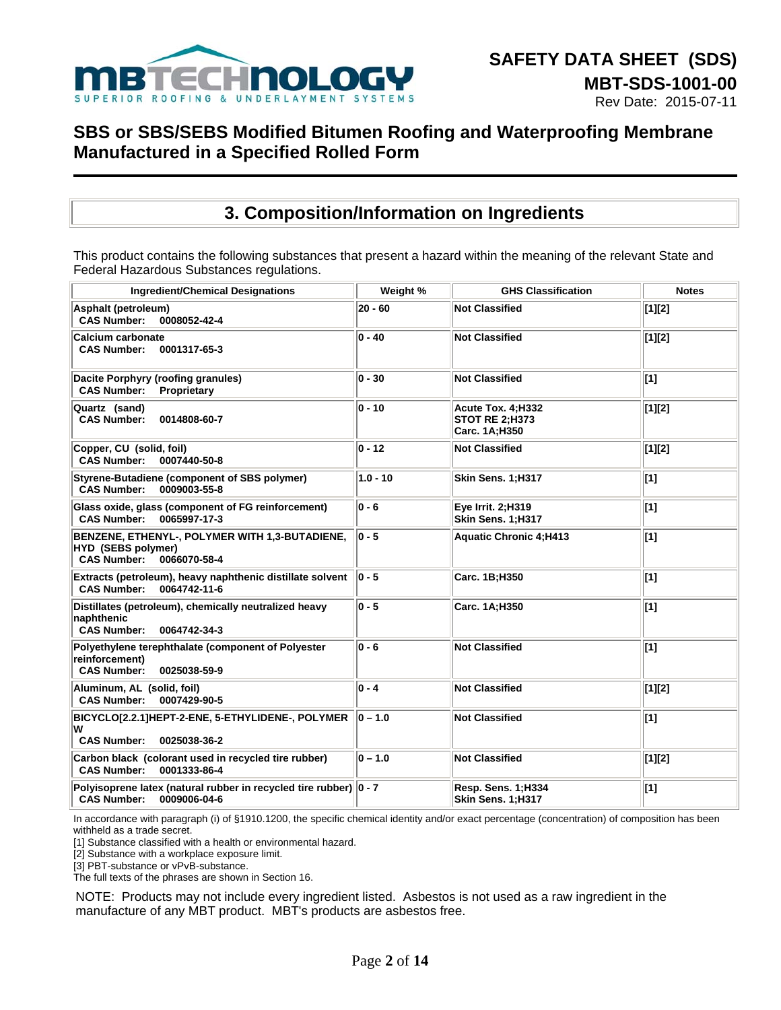

### **3. Composition/Information on Ingredients**

This product contains the following substances that present a hazard within the meaning of the relevant State and Federal Hazardous Substances regulations.

| <b>Ingredient/Chemical Designations</b>                                                                                  | Weight %    | <b>GHS Classification</b>                            | <b>Notes</b> |
|--------------------------------------------------------------------------------------------------------------------------|-------------|------------------------------------------------------|--------------|
| Asphalt (petroleum)<br><b>CAS Number:</b><br>0008052-42-4                                                                | 20 - 60     | <b>Not Classified</b>                                | $[1][2]$     |
| <b>Calcium carbonate</b><br><b>CAS Number:</b><br>0001317-65-3                                                           | $ 0 - 40$   | <b>Not Classified</b>                                | $[1][2]$     |
| Dacite Porphyry (roofing granules)<br><b>CAS Number:</b><br>Proprietary                                                  | $ 0 - 30$   | <b>Not Classified</b>                                | [1]          |
| Quartz (sand)<br><b>CAS Number:</b><br>0014808-60-7                                                                      | $ 0 - 10$   | Acute Tox. 4:H332<br>STOT RE 2;H373<br>Carc. 1A;H350 | $[1][2]$     |
| Copper, CU (solid, foil)<br><b>CAS Number:</b><br>0007440-50-8                                                           | $ 0 - 12 $  | <b>Not Classified</b>                                | $[1][2]$     |
| Styrene-Butadiene (component of SBS polymer)<br><b>CAS Number:</b><br>0009003-55-8                                       | $1.0 - 10$  | Skin Sens. 1;H317                                    | $[1]$        |
| Glass oxide, glass (component of FG reinforcement)<br><b>CAS Number:</b><br>0065997-17-3                                 | $ 0 - 6 $   | Eye Irrit. 2; H319<br>Skin Sens. 1;H317              | $[1]$        |
| BENZENE, ETHENYL-, POLYMER WITH 1,3-BUTADIENE,<br><b>HYD (SEBS polymer)</b><br><b>CAS Number:</b><br>0066070-58-4        | $ 0 - 5 $   | <b>Aquatic Chronic 4:H413</b>                        | $[1]$        |
| Extracts (petroleum), heavy naphthenic distillate solvent<br><b>CAS Number:</b><br>0064742-11-6                          | $ 0 - 5 $   | Carc. 1B;H350                                        | $\vert$ [1]  |
| Distillates (petroleum), chemically neutralized heavy<br>naphthenic<br><b>CAS Number:</b><br>0064742-34-3                | $ 0 - 5 $   | Carc. 1A;H350                                        | $[1]$        |
| Polyethylene terephthalate (component of Polyester<br>reinforcement)<br><b>CAS Number:</b><br>0025038-59-9               | $ 0 - 6 $   | <b>Not Classified</b>                                | [1]          |
| Aluminum, AL (solid, foil)<br><b>CAS Number:</b><br>0007429-90-5                                                         | $ 0 - 4 $   | <b>Not Classified</b>                                | [1][2]       |
| $\vert$ BICYCLO[2.2.1]HEPT-2-ENE, 5-ETHYLIDENE-, POLYMER $\vert\vert$ 0 – 1.0<br>W<br><b>CAS Number:</b><br>0025038-36-2 |             | <b>Not Classified</b>                                | $[1]$        |
| Carbon black (colorant used in recycled tire rubber)<br><b>CAS Number:</b><br>0001333-86-4                               | $ 0 - 1.0 $ | <b>Not Classified</b>                                | [1][2]       |
| Polyisoprene latex (natural rubber in recycled tire rubber) 0 - 7<br><b>CAS Number:</b><br>0009006-04-6                  |             | Resp. Sens. 1;H334<br>Skin Sens. 1;H317              | $[1]$        |

In accordance with paragraph (i) of §1910.1200, the specific chemical identity and/or exact percentage (concentration) of composition has been withheld as a trade secret.

[1] Substance classified with a health or environmental hazard.

[2] Substance with a workplace exposure limit.

[3] PBT-substance or vPvB-substance.

The full texts of the phrases are shown in Section 16.

NOTE: Products may not include every ingredient listed. Asbestos is not used as a raw ingredient in the manufacture of any MBT product. MBT's products are asbestos free.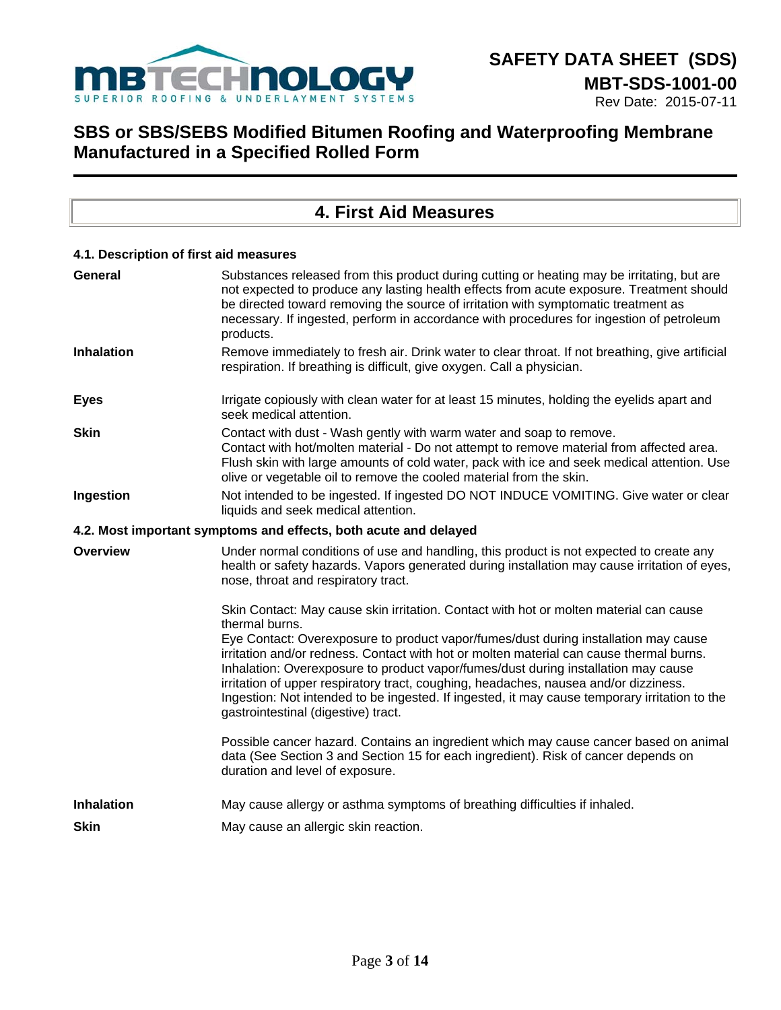

### Rev Date: 2015-07-11

| <b>4. First Aid Measures</b> |                                                                                                                                                                                                                                                                                                                                                                                                                                                                                                      |  |  |  |  |
|------------------------------|------------------------------------------------------------------------------------------------------------------------------------------------------------------------------------------------------------------------------------------------------------------------------------------------------------------------------------------------------------------------------------------------------------------------------------------------------------------------------------------------------|--|--|--|--|
|                              |                                                                                                                                                                                                                                                                                                                                                                                                                                                                                                      |  |  |  |  |
|                              | 4.1. Description of first aid measures                                                                                                                                                                                                                                                                                                                                                                                                                                                               |  |  |  |  |
| General                      | Substances released from this product during cutting or heating may be irritating, but are<br>not expected to produce any lasting health effects from acute exposure. Treatment should<br>be directed toward removing the source of irritation with symptomatic treatment as<br>necessary. If ingested, perform in accordance with procedures for ingestion of petroleum<br>products.                                                                                                                |  |  |  |  |
| <b>Inhalation</b>            | Remove immediately to fresh air. Drink water to clear throat. If not breathing, give artificial<br>respiration. If breathing is difficult, give oxygen. Call a physician.                                                                                                                                                                                                                                                                                                                            |  |  |  |  |
| <b>Eyes</b>                  | Irrigate copiously with clean water for at least 15 minutes, holding the eyelids apart and<br>seek medical attention.                                                                                                                                                                                                                                                                                                                                                                                |  |  |  |  |
| <b>Skin</b>                  | Contact with dust - Wash gently with warm water and soap to remove.<br>Contact with hot/molten material - Do not attempt to remove material from affected area.<br>Flush skin with large amounts of cold water, pack with ice and seek medical attention. Use<br>olive or vegetable oil to remove the cooled material from the skin.                                                                                                                                                                 |  |  |  |  |
| Ingestion                    | Not intended to be ingested. If ingested DO NOT INDUCE VOMITING. Give water or clear<br>liquids and seek medical attention.                                                                                                                                                                                                                                                                                                                                                                          |  |  |  |  |
|                              | 4.2. Most important symptoms and effects, both acute and delayed                                                                                                                                                                                                                                                                                                                                                                                                                                     |  |  |  |  |
| <b>Overview</b>              | Under normal conditions of use and handling, this product is not expected to create any<br>health or safety hazards. Vapors generated during installation may cause irritation of eyes,<br>nose, throat and respiratory tract.                                                                                                                                                                                                                                                                       |  |  |  |  |
|                              | Skin Contact: May cause skin irritation. Contact with hot or molten material can cause<br>thermal burns.                                                                                                                                                                                                                                                                                                                                                                                             |  |  |  |  |
|                              | Eye Contact: Overexposure to product vapor/fumes/dust during installation may cause<br>irritation and/or redness. Contact with hot or molten material can cause thermal burns.<br>Inhalation: Overexposure to product vapor/fumes/dust during installation may cause<br>irritation of upper respiratory tract, coughing, headaches, nausea and/or dizziness.<br>Ingestion: Not intended to be ingested. If ingested, it may cause temporary irritation to the<br>gastrointestinal (digestive) tract. |  |  |  |  |
|                              | Possible cancer hazard. Contains an ingredient which may cause cancer based on animal<br>data (See Section 3 and Section 15 for each ingredient). Risk of cancer depends on<br>duration and level of exposure.                                                                                                                                                                                                                                                                                       |  |  |  |  |
| <b>Inhalation</b>            | May cause allergy or asthma symptoms of breathing difficulties if inhaled.                                                                                                                                                                                                                                                                                                                                                                                                                           |  |  |  |  |
| Skin                         | May cause an allergic skin reaction.                                                                                                                                                                                                                                                                                                                                                                                                                                                                 |  |  |  |  |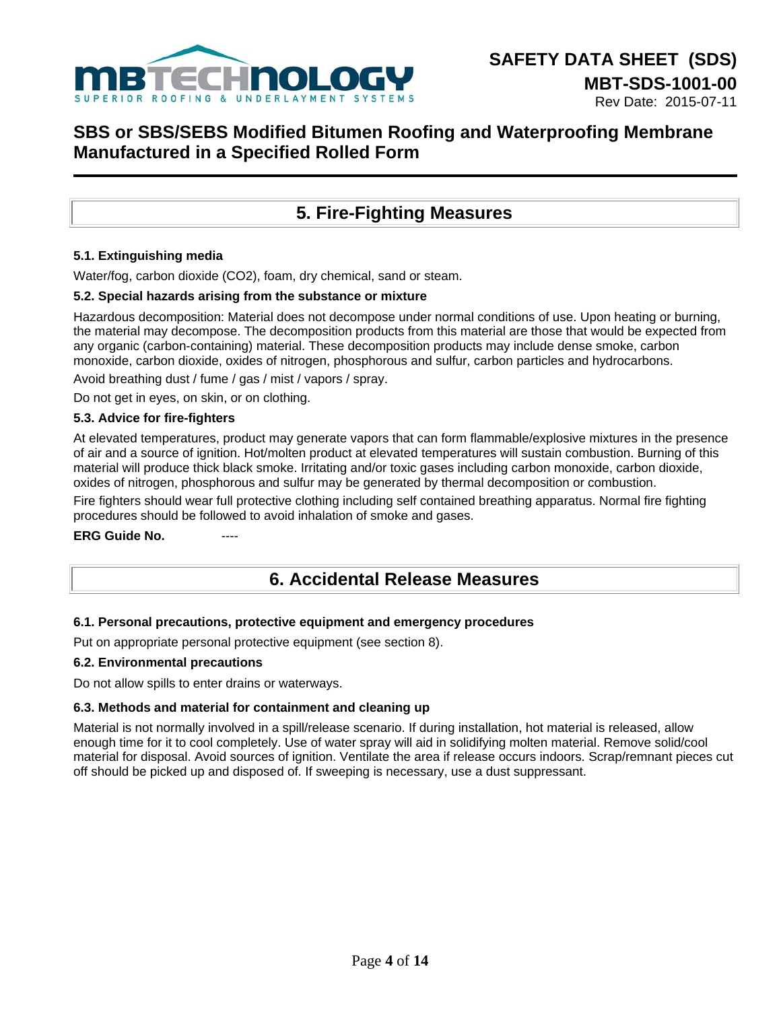

## **5. Fire-Fighting Measures**

### **5.1. Extinguishing media**

Water/fog, carbon dioxide (CO2), foam, dry chemical, sand or steam.

#### **5.2. Special hazards arising from the substance or mixture**

Hazardous decomposition: Material does not decompose under normal conditions of use. Upon heating or burning, the material may decompose. The decomposition products from this material are those that would be expected from any organic (carbon-containing) material. These decomposition products may include dense smoke, carbon monoxide, carbon dioxide, oxides of nitrogen, phosphorous and sulfur, carbon particles and hydrocarbons.

Avoid breathing dust / fume / gas / mist / vapors / spray.

Do not get in eyes, on skin, or on clothing.

### **5.3. Advice for fire-fighters**

At elevated temperatures, product may generate vapors that can form flammable/explosive mixtures in the presence of air and a source of ignition. Hot/molten product at elevated temperatures will sustain combustion. Burning of this material will produce thick black smoke. Irritating and/or toxic gases including carbon monoxide, carbon dioxide, oxides of nitrogen, phosphorous and sulfur may be generated by thermal decomposition or combustion.

Fire fighters should wear full protective clothing including self contained breathing apparatus. Normal fire fighting procedures should be followed to avoid inhalation of smoke and gases.

#### **ERG Guide No.**

### **6. Accidental Release Measures**

#### **6.1. Personal precautions, protective equipment and emergency procedures**

Put on appropriate personal protective equipment (see section 8).

#### **6.2. Environmental precautions**

Do not allow spills to enter drains or waterways.

#### **6.3. Methods and material for containment and cleaning up**

Material is not normally involved in a spill/release scenario. If during installation, hot material is released, allow enough time for it to cool completely. Use of water spray will aid in solidifying molten material. Remove solid/cool material for disposal. Avoid sources of ignition. Ventilate the area if release occurs indoors. Scrap/remnant pieces cut off should be picked up and disposed of. If sweeping is necessary, use a dust suppressant.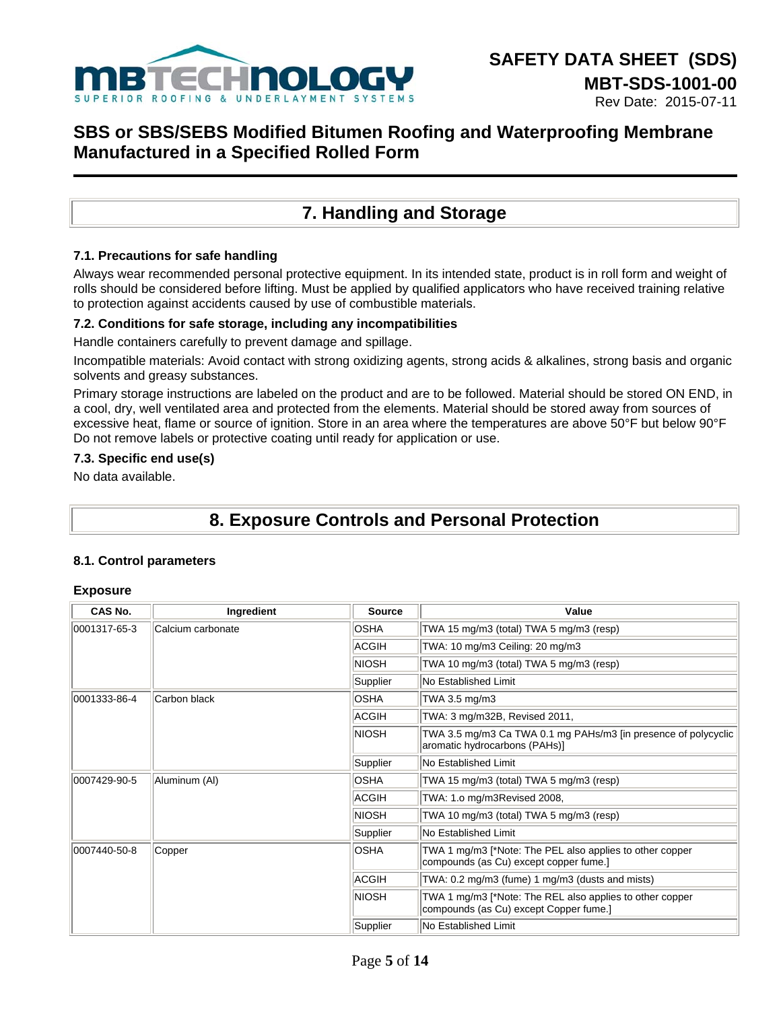

## **7. Handling and Storage**

### **7.1. Precautions for safe handling**

Always wear recommended personal protective equipment. In its intended state, product is in roll form and weight of rolls should be considered before lifting. Must be applied by qualified applicators who have received training relative to protection against accidents caused by use of combustible materials.

### **7.2. Conditions for safe storage, including any incompatibilities**

Handle containers carefully to prevent damage and spillage.

Incompatible materials: Avoid contact with strong oxidizing agents, strong acids & alkalines, strong basis and organic solvents and greasy substances.

Primary storage instructions are labeled on the product and are to be followed. Material should be stored ON END, in a cool, dry, well ventilated area and protected from the elements. Material should be stored away from sources of excessive heat, flame or source of ignition. Store in an area where the temperatures are above 50°F but below 90°F Do not remove labels or protective coating until ready for application or use.

### **7.3. Specific end use(s)**

No data available.

# **8. Exposure Controls and Personal Protection**

### **8.1. Control parameters**

#### **Exposure**

| CAS No.      | Ingredient        | <b>Source</b> | Value                                                                                              |  |  |
|--------------|-------------------|---------------|----------------------------------------------------------------------------------------------------|--|--|
| 0001317-65-3 | Calcium carbonate | <b>OSHA</b>   | TWA 15 mg/m3 (total) TWA 5 mg/m3 (resp)                                                            |  |  |
|              |                   | ACGIH         | TWA: 10 mg/m3 Ceiling: 20 mg/m3                                                                    |  |  |
|              |                   | NIOSH         | TWA 10 mg/m3 (total) TWA 5 mg/m3 (resp)                                                            |  |  |
|              |                   | Supplier      | No Established Limit                                                                               |  |  |
| 0001333-86-4 | Carbon black      | <b>OSHA</b>   | TWA 3.5 mg/m3                                                                                      |  |  |
|              |                   | <b>ACGIH</b>  | TWA: 3 mg/m32B, Revised 2011,                                                                      |  |  |
|              |                   | <b>NIOSH</b>  | TWA 3.5 mg/m3 Ca TWA 0.1 mg PAHs/m3 [in presence of polycyclic<br>aromatic hydrocarbons (PAHs)]    |  |  |
|              |                   | Supplier      | No Established Limit                                                                               |  |  |
| 0007429-90-5 | Aluminum (Al)     | <b>OSHA</b>   | TWA 15 mg/m3 (total) TWA 5 mg/m3 (resp)                                                            |  |  |
|              |                   | <b>ACGIH</b>  | TWA: 1.o mg/m3Revised 2008,                                                                        |  |  |
|              |                   | <b>NIOSH</b>  | TWA 10 mg/m3 (total) TWA 5 mg/m3 (resp)                                                            |  |  |
|              |                   | Supplier      | No Established Limit                                                                               |  |  |
| 0007440-50-8 | Copper            | <b>OSHA</b>   | TWA 1 mg/m3 [*Note: The PEL also applies to other copper<br>compounds (as Cu) except copper fume.] |  |  |
|              |                   | ACGIH         | TWA: $0.2 \text{ mg/m}$ 3 (fume) 1 mg/m3 (dusts and mists)                                         |  |  |
|              |                   | NIOSH         | TWA 1 mg/m3 [*Note: The REL also applies to other copper<br>compounds (as Cu) except Copper fume.] |  |  |
|              |                   | Supplier      | No Established Limit                                                                               |  |  |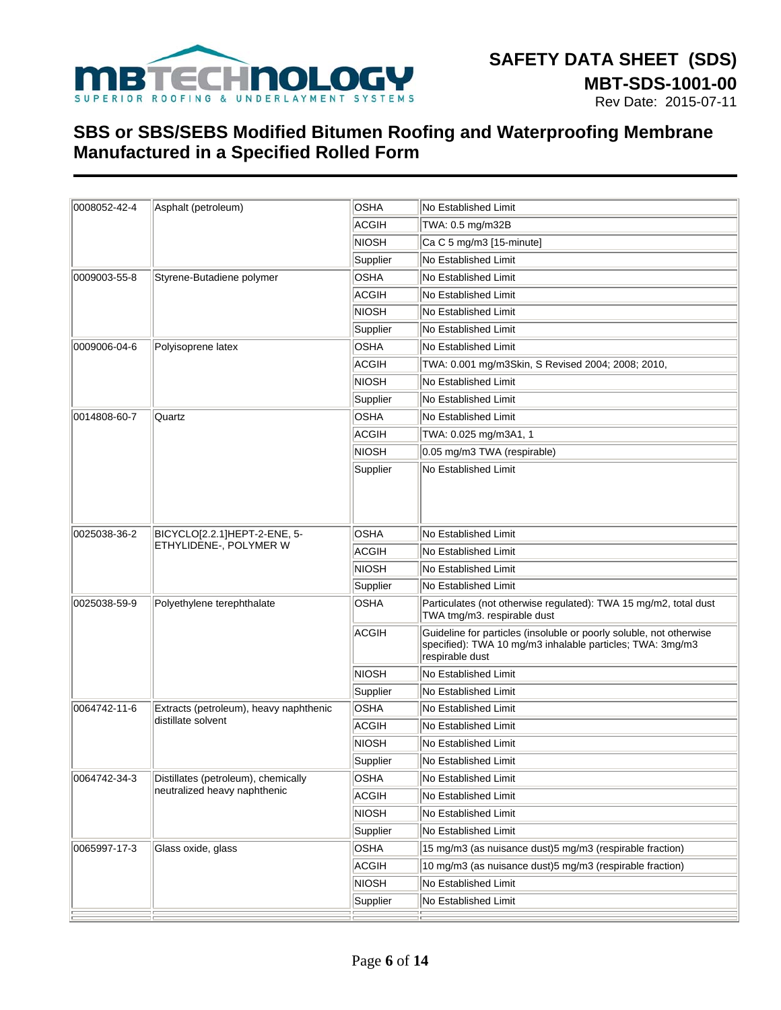

| 0008052-42-4 | Asphalt (petroleum)                                    | OSHA         | No Established Limit                                                                                                                                |  |  |  |
|--------------|--------------------------------------------------------|--------------|-----------------------------------------------------------------------------------------------------------------------------------------------------|--|--|--|
|              |                                                        | ACGIH        | TWA: 0.5 mg/m32B                                                                                                                                    |  |  |  |
|              |                                                        | INIOSH       | Ca C 5 mg/m3 [15-minute]                                                                                                                            |  |  |  |
|              |                                                        | Supplier     | No Established Limit                                                                                                                                |  |  |  |
| 0009003-55-8 | Styrene-Butadiene polymer                              | OSHA         | <b>No Established Limit</b>                                                                                                                         |  |  |  |
|              |                                                        | <b>ACGIH</b> | No Established Limit                                                                                                                                |  |  |  |
|              |                                                        | NIOSH        | No Established Limit                                                                                                                                |  |  |  |
|              |                                                        | Supplier     | No Established Limit                                                                                                                                |  |  |  |
| 0009006-04-6 | Polyisoprene latex                                     | OSHA         | No Established Limit                                                                                                                                |  |  |  |
|              |                                                        | ACGIH        | TWA: 0.001 mg/m3Skin, S Revised 2004; 2008; 2010,                                                                                                   |  |  |  |
|              |                                                        | NIOSH        | No Established Limit                                                                                                                                |  |  |  |
|              |                                                        | Supplier     | <b>No Established Limit</b>                                                                                                                         |  |  |  |
| 0014808-60-7 | Quartz                                                 | OSHA         | No Established Limit                                                                                                                                |  |  |  |
|              |                                                        | ACGIH        | TWA: 0.025 mg/m3A1, 1                                                                                                                               |  |  |  |
|              |                                                        | NIOSH        | 0.05 mg/m3 TWA (respirable)                                                                                                                         |  |  |  |
|              |                                                        | Supplier     | No Established Limit                                                                                                                                |  |  |  |
| 0025038-36-2 | BICYCLO[2.2.1]HEPT-2-ENE, 5-<br>ETHYLIDENE-, POLYMER W | OSHA         | <b>No Established Limit</b>                                                                                                                         |  |  |  |
|              |                                                        | ACGIH        | No Established Limit                                                                                                                                |  |  |  |
|              |                                                        | NIOSH        | No Established Limit                                                                                                                                |  |  |  |
|              |                                                        | Supplier     | No Established Limit                                                                                                                                |  |  |  |
| 0025038-59-9 | Polyethylene terephthalate                             | <b>OSHA</b>  | Particulates (not otherwise regulated): TWA 15 mg/m2, total dust<br>TWA tmg/m3. respirable dust                                                     |  |  |  |
|              |                                                        | <b>ACGIH</b> | Guideline for particles (insoluble or poorly soluble, not otherwise<br>specified): TWA 10 mg/m3 inhalable particles; TWA: 3mg/m3<br>respirable dust |  |  |  |
|              |                                                        | NIOSH        | No Established Limit                                                                                                                                |  |  |  |
|              |                                                        | Supplier     | No Established Limit                                                                                                                                |  |  |  |
| 0064742-11-6 | Extracts (petroleum), heavy naphthenic                 | OSHA         | No Established Limit                                                                                                                                |  |  |  |
|              | distillate solvent                                     | ACGIH        | No Established Limit                                                                                                                                |  |  |  |
|              |                                                        | NIOSH        | No Established Limit                                                                                                                                |  |  |  |
|              |                                                        | Supplier     | No Established Limit                                                                                                                                |  |  |  |
| 0064742-34-3 | Distillates (petroleum), chemically                    | OSHA         | No Established Limit                                                                                                                                |  |  |  |
|              | neutralized heavy naphthenic                           | <b>ACGIH</b> | No Established Limit                                                                                                                                |  |  |  |
|              |                                                        | NIOSH        | No Established Limit                                                                                                                                |  |  |  |
|              |                                                        | Supplier     | No Established Limit                                                                                                                                |  |  |  |
| 0065997-17-3 | Glass oxide, glass                                     | OSHA         | 15 mg/m3 (as nuisance dust)5 mg/m3 (respirable fraction)                                                                                            |  |  |  |
|              |                                                        | ACGIH        | 10 mg/m3 (as nuisance dust)5 mg/m3 (respirable fraction)                                                                                            |  |  |  |
|              |                                                        | NIOSH        | No Established Limit                                                                                                                                |  |  |  |
|              |                                                        | Supplier     | No Established Limit                                                                                                                                |  |  |  |
|              |                                                        |              |                                                                                                                                                     |  |  |  |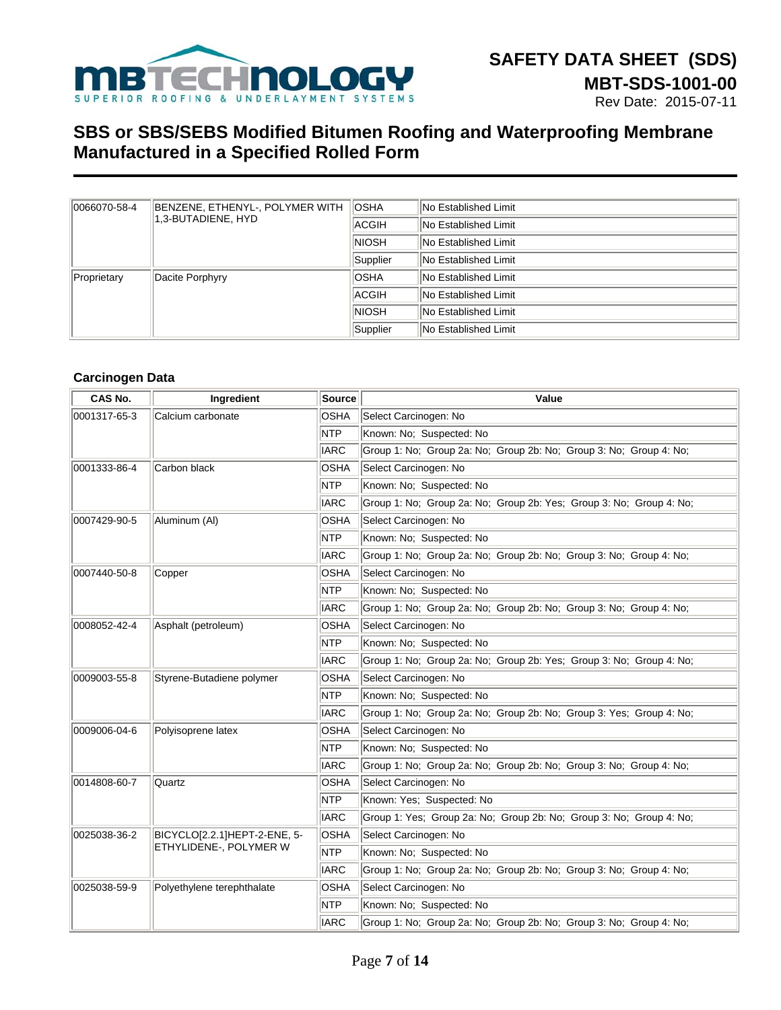

| 0066070-58-4 | BENZENE, ETHENYL-, POLYMER WITH<br>1.3-BUTADIENE. HYD | <b>IOSHA</b>                | <b>No Established Limit</b> |
|--------------|-------------------------------------------------------|-----------------------------|-----------------------------|
|              |                                                       | ACGIH                       | <b>No Established Limit</b> |
|              | <b>NIOSH</b>                                          | <b>No Established Limit</b> |                             |
|              | Supplier                                              | <b>No Established Limit</b> |                             |
| Proprietary  | Dacite Porphyry                                       | <b>OSHA</b>                 | <b>No Established Limit</b> |
|              | ACGIH                                                 | No Established Limit        |                             |
|              | <b>NIOSH</b>                                          | <b>No Established Limit</b> |                             |
|              | Supplier                                              | No Established Limit        |                             |

### **Carcinogen Data**

| CAS No.                                   | Ingredient                   | <b>Source</b> | Value                                                               |  |  |  |  |
|-------------------------------------------|------------------------------|---------------|---------------------------------------------------------------------|--|--|--|--|
| 0001317-65-3<br>Calcium carbonate         |                              | <b>OSHA</b>   | Select Carcinogen: No                                               |  |  |  |  |
|                                           |                              | <b>NTP</b>    | Known: No; Suspected: No                                            |  |  |  |  |
|                                           |                              | <b>IARC</b>   | Group 1: No: Group 2a: No: Group 2b: No: Group 3: No: Group 4: No:  |  |  |  |  |
| 0001333-86-4                              | Carbon black                 | <b>OSHA</b>   | Select Carcinogen: No                                               |  |  |  |  |
|                                           |                              | <b>NTP</b>    | Known: No: Suspected: No                                            |  |  |  |  |
|                                           |                              | <b>IARC</b>   | Group 1: No; Group 2a: No; Group 2b: Yes; Group 3: No; Group 4: No; |  |  |  |  |
| 0007429-90-5                              | Aluminum (AI)                | OSHA          | Select Carcinogen: No                                               |  |  |  |  |
|                                           |                              | <b>NTP</b>    | Known: No; Suspected: No                                            |  |  |  |  |
|                                           |                              | <b>IARC</b>   | Group 1: No; Group 2a: No; Group 2b: No; Group 3: No; Group 4: No;  |  |  |  |  |
| 0007440-50-8                              | Copper                       | <b>OSHA</b>   | Select Carcinogen: No                                               |  |  |  |  |
|                                           |                              | <b>NTP</b>    | Known: No; Suspected: No                                            |  |  |  |  |
|                                           |                              | <b>IARC</b>   | Group 1: No; Group 2a: No; Group 2b: No; Group 3: No; Group 4: No;  |  |  |  |  |
| 0008052-42-4                              | Asphalt (petroleum)          | OSHA          | Select Carcinogen: No                                               |  |  |  |  |
|                                           |                              | <b>NTP</b>    | Known: No; Suspected: No                                            |  |  |  |  |
|                                           |                              | <b>IARC</b>   | Group 1: No; Group 2a: No; Group 2b: Yes; Group 3: No; Group 4: No; |  |  |  |  |
| Styrene-Butadiene polymer<br>0009003-55-8 |                              | OSHA          | Select Carcinogen: No                                               |  |  |  |  |
|                                           |                              | <b>NTP</b>    | Known: No: Suspected: No                                            |  |  |  |  |
|                                           |                              | <b>IARC</b>   | Group 1: No; Group 2a: No; Group 2b: No; Group 3: Yes; Group 4: No; |  |  |  |  |
| 0009006-04-6<br>Polyisoprene latex        |                              | <b>OSHA</b>   | Select Carcinogen: No                                               |  |  |  |  |
|                                           |                              | <b>NTP</b>    | Known: No; Suspected: No                                            |  |  |  |  |
|                                           |                              | <b>IARC</b>   | Group 1: No; Group 2a: No; Group 2b: No; Group 3: No; Group 4: No;  |  |  |  |  |
| 0014808-60-7                              | Quartz                       | <b>OSHA</b>   | Select Carcinogen: No                                               |  |  |  |  |
|                                           |                              | <b>NTP</b>    | Known: Yes; Suspected: No                                           |  |  |  |  |
|                                           |                              | <b>IARC</b>   | Group 1: Yes; Group 2a: No; Group 2b: No; Group 3: No; Group 4: No; |  |  |  |  |
| 0025038-36-2                              | BICYCLO[2.2.1]HEPT-2-ENE, 5- | OSHA          | Select Carcinogen: No                                               |  |  |  |  |
|                                           | ETHYLIDENE-, POLYMER W       | <b>NTP</b>    | Known: No; Suspected: No                                            |  |  |  |  |
|                                           |                              | <b>IARC</b>   | Group 1: No; Group 2a: No; Group 2b: No; Group 3: No; Group 4: No;  |  |  |  |  |
| 0025038-59-9                              | Polyethylene terephthalate   | OSHA          | Select Carcinogen: No                                               |  |  |  |  |
|                                           |                              | <b>NTP</b>    | Known: No: Suspected: No                                            |  |  |  |  |
|                                           |                              | <b>IARC</b>   | Group 1: No: Group 2a: No: Group 2b: No: Group 3: No: Group 4: No:  |  |  |  |  |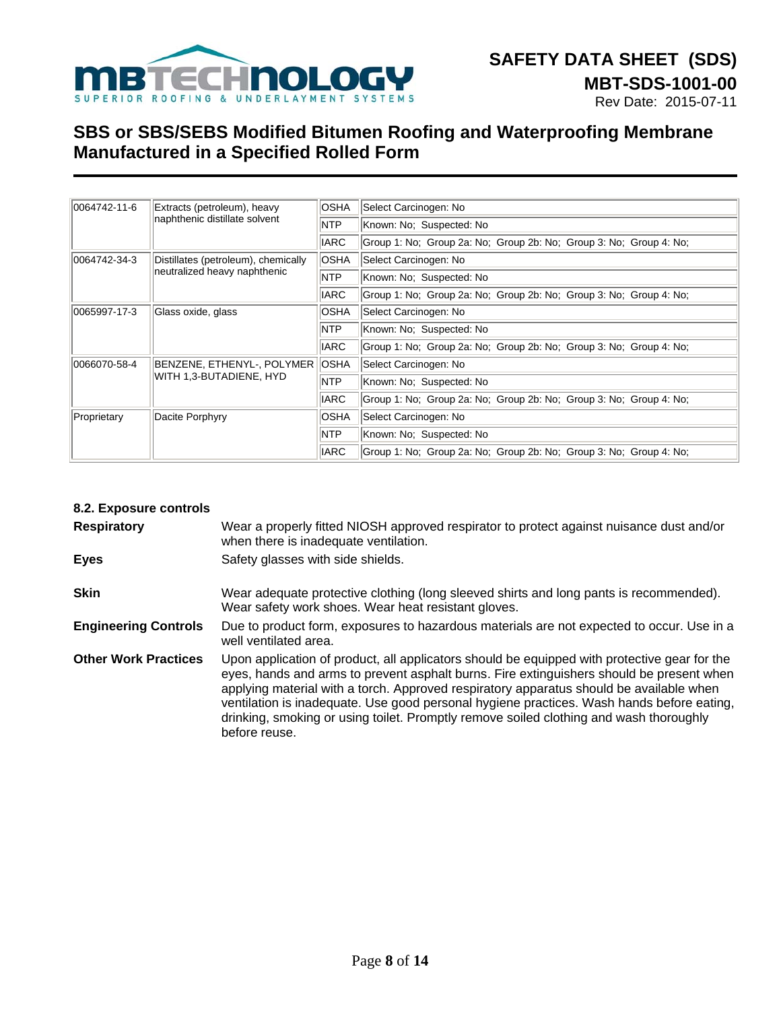

| 0064742-11-6 | Extracts (petroleum), heavy<br>naphthenic distillate solvent | <b>OSHA</b> | Select Carcinogen: No                                              |  |  |
|--------------|--------------------------------------------------------------|-------------|--------------------------------------------------------------------|--|--|
|              |                                                              | <b>NTP</b>  | Known: No; Suspected: No                                           |  |  |
|              |                                                              | <b>IARC</b> | Group 1: No; Group 2a: No; Group 2b: No; Group 3: No; Group 4: No; |  |  |
| 0064742-34-3 | Distillates (petroleum), chemically                          | <b>OSHA</b> | Select Carcinogen: No                                              |  |  |
|              | neutralized heavy naphthenic                                 | <b>NTP</b>  | Known: No; Suspected: No                                           |  |  |
|              |                                                              | <b>IARC</b> | Group 1: No; Group 2a: No; Group 2b: No; Group 3: No; Group 4: No; |  |  |
| 0065997-17-3 | Glass oxide, glass                                           | <b>OSHA</b> | Select Carcinogen: No                                              |  |  |
|              |                                                              | <b>NTP</b>  | Known: No: Suspected: No                                           |  |  |
|              |                                                              | <b>IARC</b> | Group 1: No; Group 2a: No; Group 2b: No; Group 3: No; Group 4: No; |  |  |
| 0066070-58-4 | BENZENE, ETHENYL-, POLYMER OSHA<br>WITH 1,3-BUTADIENE, HYD   |             | Select Carcinogen: No                                              |  |  |
|              |                                                              | <b>NTP</b>  | Known: No: Suspected: No                                           |  |  |
|              |                                                              | <b>IARC</b> | Group 1: No: Group 2a: No: Group 2b: No: Group 3: No: Group 4: No: |  |  |
| Proprietary  | Dacite Porphyry                                              | <b>OSHA</b> | Select Carcinogen: No                                              |  |  |
|              |                                                              | NTP         | Known: No: Suspected: No                                           |  |  |
|              |                                                              | <b>IARC</b> | Group 1: No; Group 2a: No; Group 2b: No; Group 3: No; Group 4: No; |  |  |

| 8.2. Exposure controls      |                                                                                                                                                                                                                                                                                                                                                                                                                                                                                             |
|-----------------------------|---------------------------------------------------------------------------------------------------------------------------------------------------------------------------------------------------------------------------------------------------------------------------------------------------------------------------------------------------------------------------------------------------------------------------------------------------------------------------------------------|
| <b>Respiratory</b>          | Wear a properly fitted NIOSH approved respirator to protect against nuisance dust and/or<br>when there is inadequate ventilation.                                                                                                                                                                                                                                                                                                                                                           |
| <b>Eyes</b>                 | Safety glasses with side shields.                                                                                                                                                                                                                                                                                                                                                                                                                                                           |
| <b>Skin</b>                 | Wear adequate protective clothing (long sleeved shirts and long pants is recommended).<br>Wear safety work shoes. Wear heat resistant gloves.                                                                                                                                                                                                                                                                                                                                               |
| <b>Engineering Controls</b> | Due to product form, exposures to hazardous materials are not expected to occur. Use in a<br>well ventilated area.                                                                                                                                                                                                                                                                                                                                                                          |
| <b>Other Work Practices</b> | Upon application of product, all applicators should be equipped with protective gear for the<br>eyes, hands and arms to prevent asphalt burns. Fire extinguishers should be present when<br>applying material with a torch. Approved respiratory apparatus should be available when<br>ventilation is inadequate. Use good personal hygiene practices. Wash hands before eating,<br>drinking, smoking or using toilet. Promptly remove soiled clothing and wash thoroughly<br>before reuse. |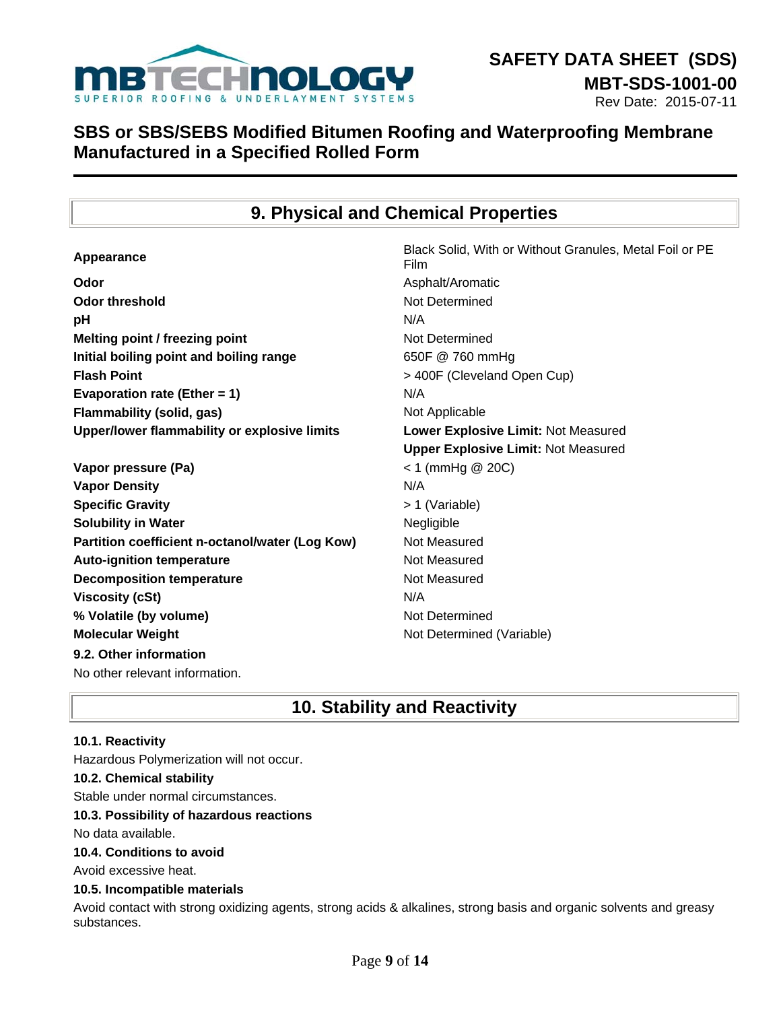

## **9. Physical and Chemical Properties**

| Appearance                                      | Black Solid, With or Without Granules, Metal Foil or PE<br>Film |
|-------------------------------------------------|-----------------------------------------------------------------|
| Odor                                            | Asphalt/Aromatic                                                |
| <b>Odor threshold</b>                           | Not Determined                                                  |
| pH                                              | N/A                                                             |
| Melting point / freezing point                  | Not Determined                                                  |
| Initial boiling point and boiling range         | 650F @ 760 mmHg                                                 |
| <b>Flash Point</b>                              | > 400F (Cleveland Open Cup)                                     |
| Evaporation rate (Ether = $1$ )                 | N/A                                                             |
| <b>Flammability (solid, gas)</b>                | Not Applicable                                                  |
| Upper/lower flammability or explosive limits    | Lower Explosive Limit: Not Measured                             |
|                                                 | <b>Upper Explosive Limit: Not Measured</b>                      |
| Vapor pressure (Pa)                             | $<$ 1 (mmHg @ 20C)                                              |
| <b>Vapor Density</b>                            | N/A                                                             |
| <b>Specific Gravity</b>                         | > 1 (Variable)                                                  |
| <b>Solubility in Water</b>                      | Negligible                                                      |
| Partition coefficient n-octanol/water (Log Kow) | Not Measured                                                    |
| <b>Auto-ignition temperature</b>                | Not Measured                                                    |
| <b>Decomposition temperature</b>                | Not Measured                                                    |
| <b>Viscosity (cSt)</b>                          | N/A                                                             |
| % Volatile (by volume)                          | Not Determined                                                  |
| <b>Molecular Weight</b>                         | Not Determined (Variable)                                       |
| 9.2. Other information                          |                                                                 |
| No other relevant information.                  |                                                                 |

## **10. Stability and Reactivity**

#### **10.1. Reactivity**

Hazardous Polymerization will not occur.

### **10.2. Chemical stability**

Stable under normal circumstances.

#### **10.3. Possibility of hazardous reactions**

No data available.

#### **10.4. Conditions to avoid**

Avoid excessive heat.

#### **10.5. Incompatible materials**

Avoid contact with strong oxidizing agents, strong acids & alkalines, strong basis and organic solvents and greasy substances.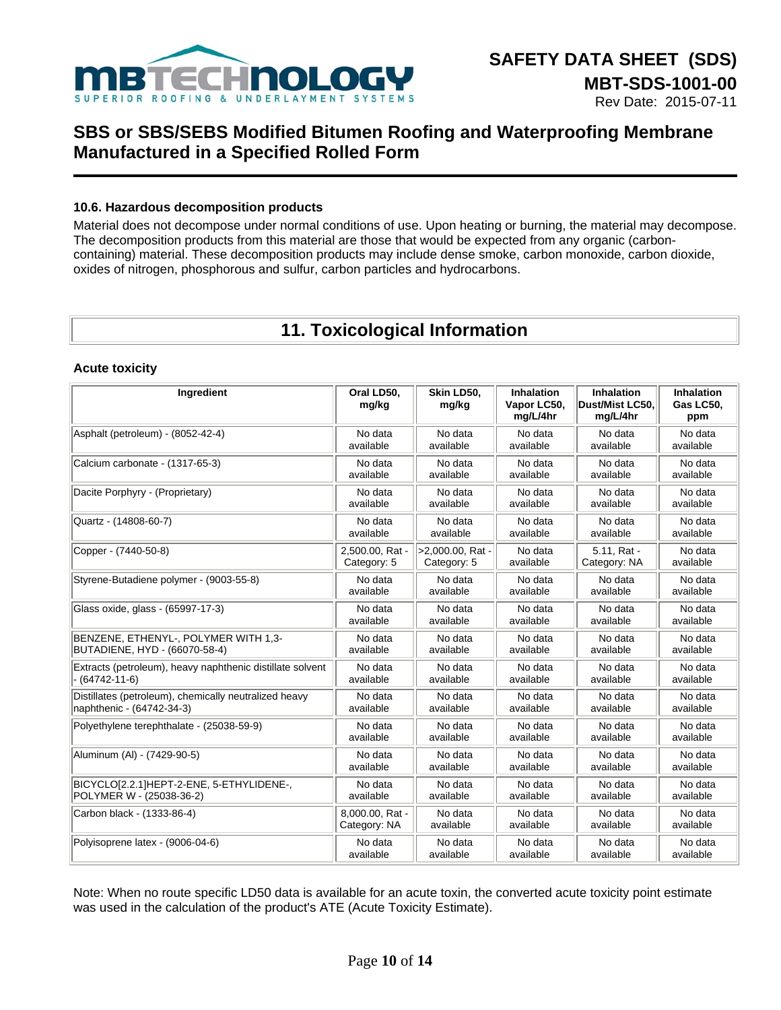

### **10.6. Hazardous decomposition products**

Material does not decompose under normal conditions of use. Upon heating or burning, the material may decompose. The decomposition products from this material are those that would be expected from any organic (carboncontaining) material. These decomposition products may include dense smoke, carbon monoxide, carbon dioxide, oxides of nitrogen, phosphorous and sulfur, carbon particles and hydrocarbons.

## **11. Toxicological Information**

#### **Acute toxicity**

| Ingredient                                                | Oral LD50,<br>mg/kg | Skin LD50.<br>mg/kg | <b>Inhalation</b><br>Vapor LC50,<br>mg/L/4hr | <b>Inhalation</b><br>Dust/Mist LC50,<br>mg/L/4hr | <b>Inhalation</b><br>Gas LC50.<br>ppm |
|-----------------------------------------------------------|---------------------|---------------------|----------------------------------------------|--------------------------------------------------|---------------------------------------|
| Asphalt (petroleum) - (8052-42-4)                         | No data             | No data             | No data                                      | No data                                          | No data                               |
|                                                           | available           | available           | available                                    | available                                        | available                             |
| Calcium carbonate - (1317-65-3)                           | No data             | No data             | No data                                      | No data                                          | No data                               |
|                                                           | available           | available           | available                                    | available                                        | available                             |
| Dacite Porphyry - (Proprietary)                           | No data             | No data             | No data                                      | No data                                          | No data                               |
|                                                           | available           | available           | available                                    | available                                        | available                             |
| Quartz - (14808-60-7)                                     | No data             | No data             | No data                                      | No data                                          | No data                               |
|                                                           | available           | available           | available                                    | available                                        | available                             |
| Copper - (7440-50-8)                                      | 2,500.00, Rat -     | >2,000.00, Rat -    | No data                                      | 5.11, Rat -                                      | No data                               |
|                                                           | Category: 5         | Category: 5         | available                                    | Category: NA                                     | available                             |
| Styrene-Butadiene polymer - (9003-55-8)                   | No data             | No data             | No data                                      | No data                                          | No data                               |
|                                                           | available           | available           | available                                    | available                                        | available                             |
| Glass oxide, glass - (65997-17-3)                         | No data             | No data             | No data                                      | No data                                          | No data                               |
|                                                           | available           | available           | available                                    | available                                        | available                             |
| BENZENE, ETHENYL-, POLYMER WITH 1,3-                      | No data             | No data             | No data                                      | No data                                          | No data                               |
| BUTADIENE, HYD - (66070-58-4)                             | available           | available           | available                                    | available                                        | available                             |
| Extracts (petroleum), heavy naphthenic distillate solvent | No data             | No data             | No data                                      | No data                                          | No data                               |
| $-(64742-11-6)$                                           | available           | available           | available                                    | available                                        | available                             |
| Distillates (petroleum), chemically neutralized heavy     | No data             | No data             | No data                                      | No data                                          | No data                               |
| naphthenic - (64742-34-3)                                 | available           | available           | available                                    | available                                        | available                             |
| Polyethylene terephthalate - (25038-59-9)                 | No data             | No data             | No data                                      | No data                                          | No data                               |
|                                                           | available           | available           | available                                    | available                                        | available                             |
| Aluminum (Al) - (7429-90-5)                               | No data             | No data             | No data                                      | No data                                          | No data                               |
|                                                           | available           | available           | available                                    | available                                        | available                             |
| BICYCLOI2.2.1]HEPT-2-ENE, 5-ETHYLIDENE-,                  | No data             | No data             | No data                                      | No data                                          | No data                               |
| POLYMER W - (25038-36-2)                                  | available           | available           | available                                    | available                                        | available                             |
| Carbon black - (1333-86-4)                                | 8.000.00, Rat -     | No data             | No data                                      | No data                                          | No data                               |
|                                                           | Category: NA        | available           | available                                    | available                                        | available                             |
| Polyisoprene latex - (9006-04-6)                          | No data             | No data             | No data                                      | No data                                          | No data                               |
|                                                           | available           | available           | available                                    | available                                        | available                             |

Note: When no route specific LD50 data is available for an acute toxin, the converted acute toxicity point estimate was used in the calculation of the product's ATE (Acute Toxicity Estimate).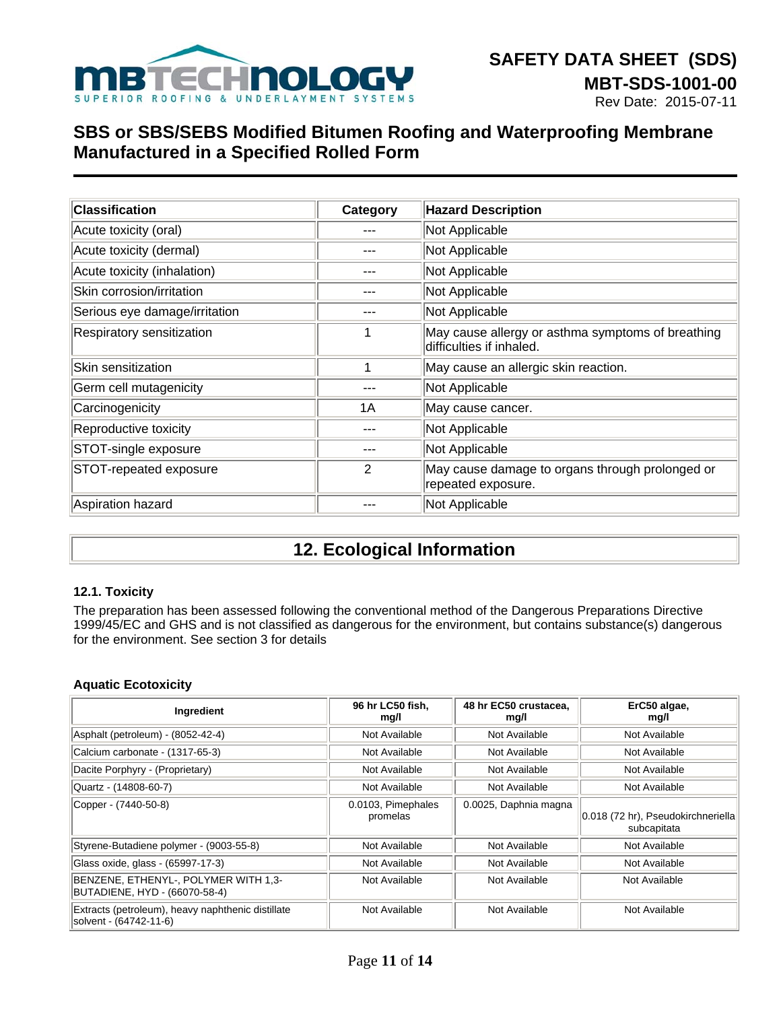

| <b>Classification</b>         | Category | <b>Hazard Description</b>                                                     |
|-------------------------------|----------|-------------------------------------------------------------------------------|
| Acute toxicity (oral)         |          | Not Applicable                                                                |
| Acute toxicity (dermal)       |          | Not Applicable                                                                |
| Acute toxicity (inhalation)   |          | Not Applicable                                                                |
| Skin corrosion/irritation     |          | Not Applicable                                                                |
| Serious eye damage/irritation |          | Not Applicable                                                                |
| Respiratory sensitization     |          | May cause allergy or asthma symptoms of breathing<br>difficulties if inhaled. |
| Skin sensitization            |          | May cause an allergic skin reaction.                                          |
| Germ cell mutagenicity        |          | Not Applicable                                                                |
| Carcinogenicity               | 1A       | May cause cancer.                                                             |
| Reproductive toxicity         |          | Not Applicable                                                                |
| STOT-single exposure          |          | Not Applicable                                                                |
| STOT-repeated exposure        | 2        | May cause damage to organs through prolonged or<br>repeated exposure.         |
| Aspiration hazard             |          | Not Applicable                                                                |

# **12. Ecological Information**

### **12.1. Toxicity**

The preparation has been assessed following the conventional method of the Dangerous Preparations Directive 1999/45/EC and GHS and is not classified as dangerous for the environment, but contains substance(s) dangerous for the environment. See section 3 for details

### **Aquatic Ecotoxicity**

| Ingredient                                                                  | 96 hr LC50 fish,<br>mg/l       | 48 hr EC50 crustacea,<br>mg/l | ErC50 algae,<br>mg/l                              |
|-----------------------------------------------------------------------------|--------------------------------|-------------------------------|---------------------------------------------------|
| Asphalt (petroleum) - (8052-42-4)                                           | Not Available                  | Not Available                 | Not Available                                     |
| Calcium carbonate - (1317-65-3)                                             | Not Available                  | Not Available                 | Not Available                                     |
| Dacite Porphyry - (Proprietary)                                             | Not Available                  | Not Available                 | Not Available                                     |
| Quartz - (14808-60-7)                                                       | Not Available                  | Not Available                 | Not Available                                     |
| Copper - (7440-50-8)                                                        | 0.0103, Pimephales<br>promelas | 0.0025, Daphnia magna         | 0.018 (72 hr), Pseudokirchneriella<br>subcapitata |
| Styrene-Butadiene polymer - (9003-55-8)                                     | Not Available                  | Not Available                 | Not Available                                     |
| Glass oxide, glass - (65997-17-3)                                           | Not Available                  | Not Available                 | Not Available                                     |
| BENZENE, ETHENYL-, POLYMER WITH 1,3-<br>BUTADIENE, HYD - (66070-58-4)       | Not Available                  | Not Available                 | Not Available                                     |
| Extracts (petroleum), heavy naphthenic distillate<br>solvent - (64742-11-6) | Not Available                  | Not Available                 | Not Available                                     |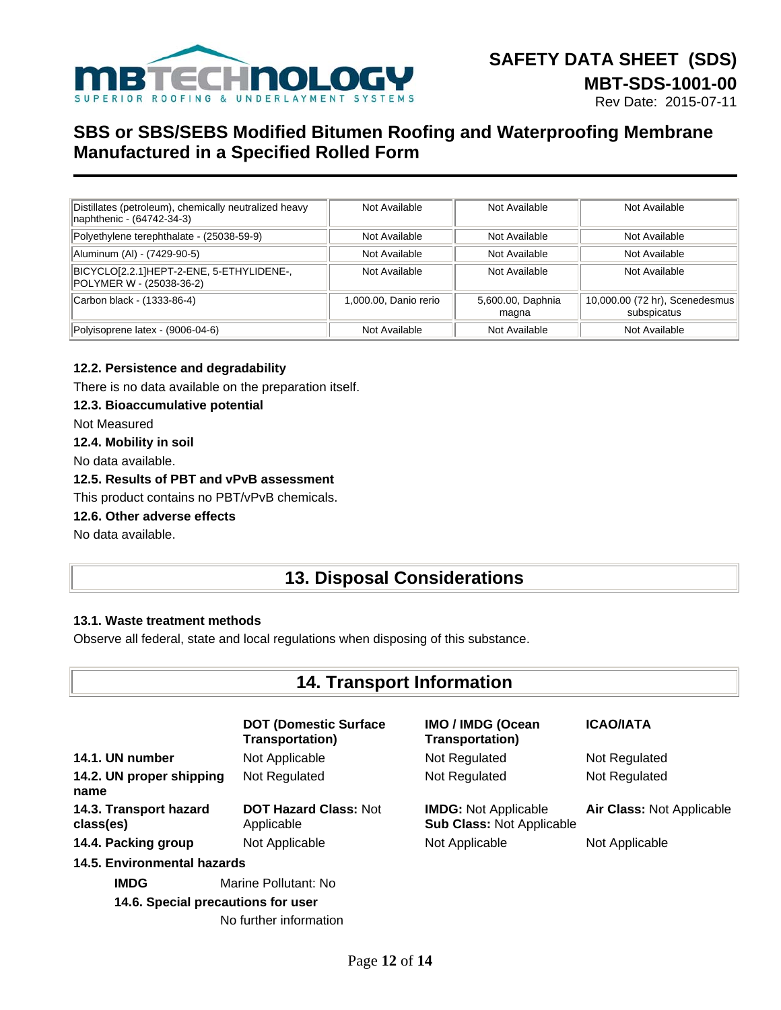

| Distillates (petroleum), chemically neutralized heavy<br>naphthenic - (64742-34-3) | Not Available         | Not Available              | Not Available                                 |
|------------------------------------------------------------------------------------|-----------------------|----------------------------|-----------------------------------------------|
| Polyethylene terephthalate - (25038-59-9)                                          | Not Available         | Not Available              | Not Available                                 |
| Aluminum (Al) - (7429-90-5)                                                        | Not Available         | Not Available              | Not Available                                 |
| BICYCLO[2.2.1]HEPT-2-ENE, 5-ETHYLIDENE-,<br>POLYMER W - (25038-36-2)               | Not Available         | Not Available              | Not Available                                 |
| Carbon black - (1333-86-4)                                                         | 1,000.00, Danio rerio | 5,600.00, Daphnia<br>magna | 10,000.00 (72 hr), Scenedesmus<br>subspicatus |
| Polyisoprene latex - (9006-04-6)                                                   | Not Available         | Not Available              | Not Available                                 |

#### **12.2. Persistence and degradability**

There is no data available on the preparation itself.

#### **12.3. Bioaccumulative potential**

Not Measured

### **12.4. Mobility in soil**

No data available.

### **12.5. Results of PBT and vPvB assessment**

This product contains no PBT/vPvB chemicals.

#### **12.6. Other adverse effects**

No data available.

## **13. Disposal Considerations**

#### **13.1. Waste treatment methods**

Observe all federal, state and local regulations when disposing of this substance.

## **14. Transport Information**

|                                     | <b>DOT (Domestic Surface)</b><br><b>Transportation)</b> | <b>IMO / IMDG (Ocean</b><br><b>Transportation)</b>              | <b>ICAO/IATA</b>          |
|-------------------------------------|---------------------------------------------------------|-----------------------------------------------------------------|---------------------------|
| 14.1. UN number                     | Not Applicable                                          | Not Regulated                                                   | Not Regulated             |
| 14.2. UN proper shipping<br>name    | Not Regulated                                           | Not Regulated                                                   | Not Regulated             |
| 14.3. Transport hazard<br>class(es) | <b>DOT Hazard Class: Not</b><br>Applicable              | <b>IMDG:</b> Not Applicable<br><b>Sub Class: Not Applicable</b> | Air Class: Not Applicable |
| 14.4. Packing group                 | Not Applicable                                          | Not Applicable                                                  | Not Applicable            |
| 14.5. Environmental hazards         |                                                         |                                                                 |                           |
| <b>IMDG</b>                         | Marine Pollutant: No                                    |                                                                 |                           |
| 14.6. Special precautions for user  |                                                         |                                                                 |                           |
|                                     | No further information                                  |                                                                 |                           |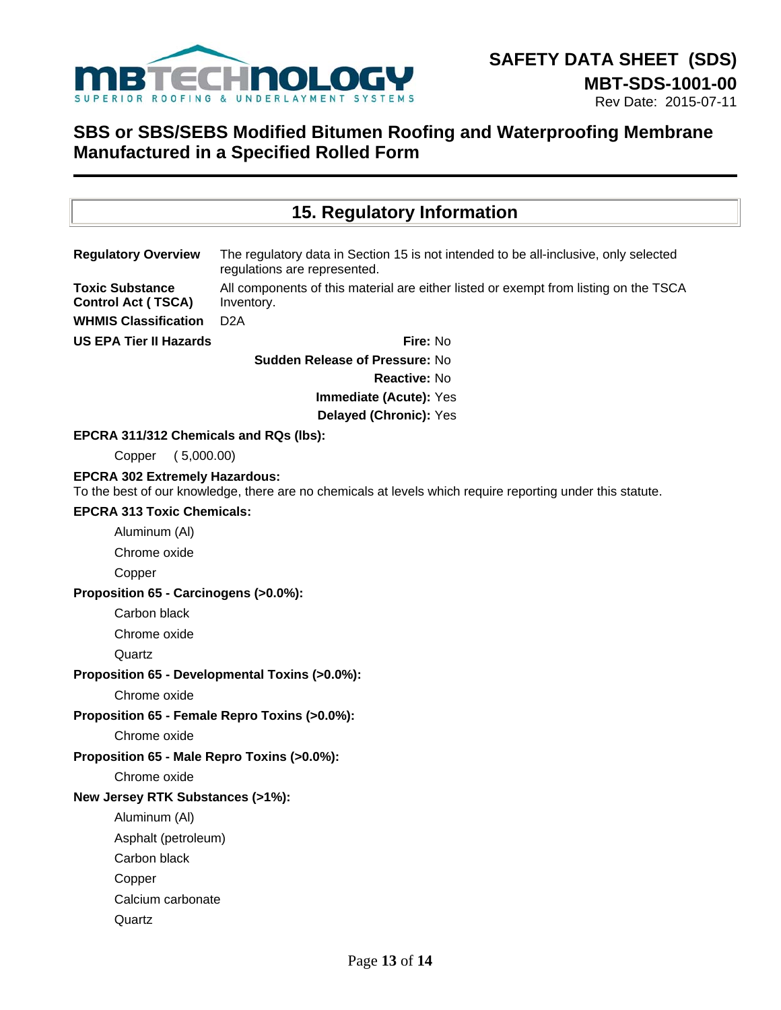

| 15. Regulatory Information                          |                                                                                                                      |  |
|-----------------------------------------------------|----------------------------------------------------------------------------------------------------------------------|--|
|                                                     |                                                                                                                      |  |
| <b>Regulatory Overview</b>                          | The regulatory data in Section 15 is not intended to be all-inclusive, only selected<br>regulations are represented. |  |
| <b>Toxic Substance</b><br><b>Control Act (TSCA)</b> | All components of this material are either listed or exempt from listing on the TSCA<br>Inventory.                   |  |
| <b>WHMIS Classification</b>                         | D <sub>2</sub> A                                                                                                     |  |
| <b>US EPA Tier II Hazards</b>                       | Fire: No                                                                                                             |  |
|                                                     | <b>Sudden Release of Pressure: No</b>                                                                                |  |
|                                                     | Reactive: No                                                                                                         |  |
|                                                     | Immediate (Acute): Yes                                                                                               |  |
|                                                     | Delayed (Chronic): Yes                                                                                               |  |
| EPCRA 311/312 Chemicals and RQs (lbs):              |                                                                                                                      |  |
| (5,000.00)<br>Copper                                |                                                                                                                      |  |
| <b>EPCRA 302 Extremely Hazardous:</b>               | To the best of our knowledge, there are no chemicals at levels which require reporting under this statute.           |  |
| <b>EPCRA 313 Toxic Chemicals:</b>                   |                                                                                                                      |  |
| Aluminum (Al)                                       |                                                                                                                      |  |
| Chrome oxide                                        |                                                                                                                      |  |
| Copper                                              |                                                                                                                      |  |
| Proposition 65 - Carcinogens (>0.0%):               |                                                                                                                      |  |
| Carbon black                                        |                                                                                                                      |  |
| Chrome oxide                                        |                                                                                                                      |  |
| Quartz                                              |                                                                                                                      |  |
|                                                     | Proposition 65 - Developmental Toxins (>0.0%):                                                                       |  |
| Chrome oxide                                        |                                                                                                                      |  |
| Proposition 65 - Female Repro Toxins (>0.0%):       |                                                                                                                      |  |
| Chrome oxide                                        |                                                                                                                      |  |
| Proposition 65 - Male Repro Toxins (>0.0%):         |                                                                                                                      |  |
| Chrome oxide                                        |                                                                                                                      |  |
| New Jersey RTK Substances (>1%):                    |                                                                                                                      |  |
| Aluminum (Al)                                       |                                                                                                                      |  |
| Asphalt (petroleum)                                 |                                                                                                                      |  |
| Carbon black                                        |                                                                                                                      |  |
| Copper                                              |                                                                                                                      |  |
| Calcium carbonate                                   |                                                                                                                      |  |
| Quartz                                              |                                                                                                                      |  |
|                                                     |                                                                                                                      |  |